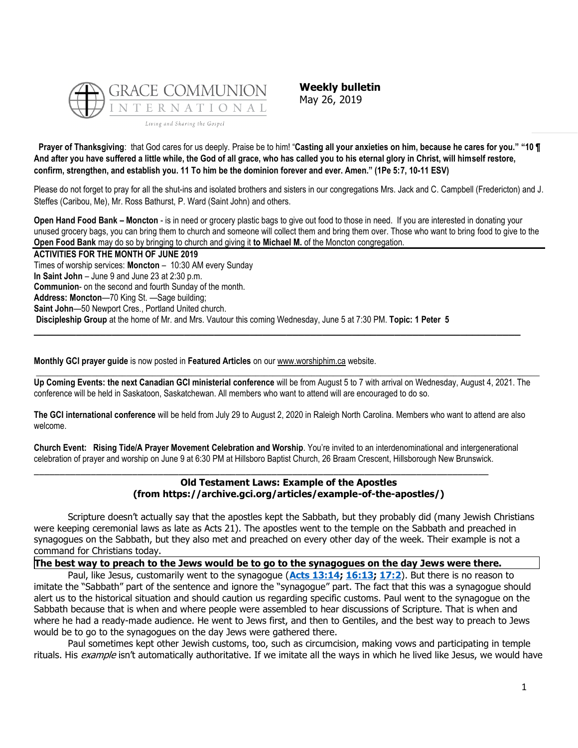

**Weekly bulletin** May 26, 2019

**Prayer of Thanksgiving**: that God cares for us deeply. Praise be to him! "**Casting all your anxieties on him, because he cares for you." "10 ¶ And after you have suffered a little while, the God of all grace, who has called you to his eternal glory in Christ, will himself restore, confirm, strengthen, and establish you. 11 To him be the dominion forever and ever. Amen." (1Pe 5:7, 10-11 ESV)**

Please do not forget to pray for all the shut-ins and isolated brothers and sisters in our congregations Mrs. Jack and C. Campbell (Fredericton) and J. Steffes (Caribou, Me), Mr. Ross Bathurst, P. Ward (Saint John) and others.

**Open Hand Food Bank – Moncton** - is in need or grocery plastic bags to give out food to those in need. If you are interested in donating your unused grocery bags, you can bring them to church and someone will collect them and bring them over. Those who want to bring food to give to the **Open Food Bank** may do so by bringing to church and giving it **to Michael M.** of the Moncton congregation.

**ACTIVITIES FOR THE MONTH OF JUNE 2019** Times of worship services: **Moncton** – 10:30 AM every Sunday **In Saint John** – June 9 and June 23 at 2:30 p.m. **Communion**- on the second and fourth Sunday of the month. **Address: Moncton**—70 King St. —Sage building; **Saint John**—50 Newport Cres., Portland United church. **Discipleship Group** at the home of Mr. and Mrs. Vautour this coming Wednesday, June 5 at 7:30 PM. **Topic: 1 Peter 5**

**Monthly GCI prayer guide** is now posted in **Featured Articles** on our [www.worshiphim.ca](http://www.worshiphim.ca/) website.

**Up Coming Events: the next Canadian GCI ministerial conference** will be from August 5 to 7 with arrival on Wednesday, August 4, 2021. The conference will be held in Saskatoon, Saskatchewan. All members who want to attend will are encouraged to do so.

 $\Box$ 

**\_\_\_\_\_\_\_\_\_\_\_\_\_\_\_\_\_\_\_\_\_\_\_\_\_\_\_\_\_\_\_\_\_\_\_\_\_\_\_\_\_\_\_\_\_\_\_\_\_\_\_\_\_\_\_\_\_\_\_\_\_\_\_\_\_\_\_\_\_\_\_\_\_\_\_\_\_\_\_\_\_**

**The GCI international conference** will be held from July 29 to August 2, 2020 in Raleigh North Carolina. Members who want to attend are also welcome.

**Church Event: Rising Tide/A Prayer Movement Celebration and Worship**. You're invited to an interdenominational and intergenerational celebration of prayer and worship on June 9 at 6:30 PM at Hillsboro Baptist Church, 26 Braam Crescent, Hillsborough New Brunswick.

\_\_\_\_\_\_\_\_\_\_\_\_\_\_\_\_\_\_\_\_\_\_\_\_\_\_\_\_\_\_\_\_\_\_\_\_\_\_\_\_\_\_\_\_\_\_\_\_\_\_\_\_\_\_\_\_\_\_\_\_\_\_\_\_\_\_\_\_\_\_\_\_\_\_\_\_\_\_\_\_\_\_\_\_\_\_\_\_

## **Old Testament Laws: Example of the Apostles (from https://archive.gci.org/articles/example-of-the-apostles/)**

Scripture doesn't actually say that the apostles kept the Sabbath, but they probably did (many Jewish Christians were keeping ceremonial laws as late as Acts 21). The apostles went to the temple on the Sabbath and preached in synagogues on the Sabbath, but they also met and preached on every other day of the week. Their example is not a command for Christians today.

# **The best way to preach to the Jews would be to go to the synagogues on the day Jews were there.**

Paul, like Jesus, customarily went to the synagogue (**[Acts 13:14;](https://biblia.com/bible/niv/Acts%2013.14) [16:13;](https://biblia.com/bible/niv/Acts%2016.13) [17:2](https://biblia.com/bible/niv/Acts%2017.2)**). But there is no reason to imitate the "Sabbath" part of the sentence and ignore the "synagogue" part. The fact that this was a synagogue should alert us to the historical situation and should caution us regarding specific customs. Paul went to the synagogue on the Sabbath because that is when and where people were assembled to hear discussions of Scripture. That is when and where he had a ready-made audience. He went to Jews first, and then to Gentiles, and the best way to preach to Jews would be to go to the synagogues on the day Jews were gathered there.

Paul sometimes kept other Jewish customs, too, such as circumcision, making vows and participating in temple rituals. His example isn't automatically authoritative. If we imitate all the ways in which he lived like Jesus, we would have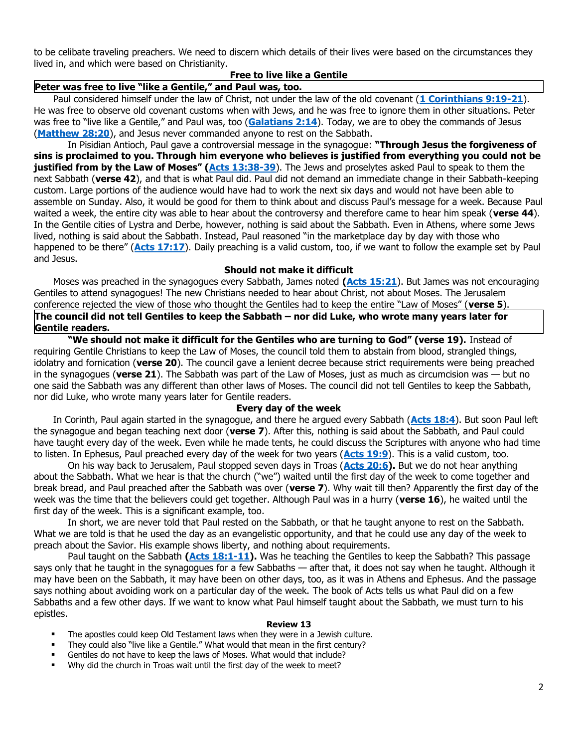to be celibate traveling preachers. We need to discern which details of their lives were based on the circumstances they lived in, and which were based on Christianity.

#### **Free to live like a Gentile**

### **Peter was free to live "like a Gentile," and Paul was, too.**

Paul considered himself under the law of Christ, not under the law of the old covenant (**[1 Corinthians 9:19-21](https://biblia.com/bible/niv/1%20Cor%209.19-21)**). He was free to observe old covenant customs when with Jews, and he was free to ignore them in other situations. Peter was free to "live like a Gentile," and Paul was, too (**[Galatians 2:14](https://biblia.com/bible/niv/Gal%202.14)**). Today, we are to obey the commands of Jesus (**[Matthew 28:20](https://biblia.com/bible/niv/Matt%2028.20)**), and Jesus never commanded anyone to rest on the Sabbath.

In Pisidian Antioch, Paul gave a controversial message in the synagogue: **"Through Jesus the forgiveness of sins is proclaimed to you. Through him everyone who believes is justified from everything you could not be justified from by the Law of Moses" ([Acts 13:38-39](https://biblia.com/bible/niv/Acts%2013.38-39)**). The Jews and proselytes asked Paul to speak to them the next Sabbath (**verse 42**), and that is what Paul did. Paul did not demand an immediate change in their Sabbath-keeping custom. Large portions of the audience would have had to work the next six days and would not have been able to assemble on Sunday. Also, it would be good for them to think about and discuss Paul's message for a week. Because Paul waited a week, the entire city was able to hear about the controversy and therefore came to hear him speak (**verse 44**). In the Gentile cities of Lystra and Derbe, however, nothing is said about the Sabbath. Even in Athens, where some Jews lived, nothing is said about the Sabbath. Instead, Paul reasoned "in the marketplace day by day with those who happened to be there" (**[Acts 17:17](https://biblia.com/bible/niv/Acts%2017.17)**). Daily preaching is a valid custom, too, if we want to follow the example set by Paul and Jesus.

#### **Should not make it difficult**

Moses was preached in the synagogues every Sabbath, James noted **[\(Acts 15:21](https://biblia.com/bible/niv/Acts%2015.21)**). But James was not encouraging Gentiles to attend synagogues! The new Christians needed to hear about Christ, not about Moses. The Jerusalem conference rejected the view of those who thought the Gentiles had to keep the entire "Law of Moses" (**verse 5**).

**The council did not tell Gentiles to keep the Sabbath – nor did Luke, who wrote many years later for Gentile readers.**

**"We should not make it difficult for the Gentiles who are turning to God" (verse 19).** Instead of requiring Gentile Christians to keep the Law of Moses, the council told them to abstain from blood, strangled things, idolatry and fornication (**verse 20**). The council gave a lenient decree because strict requirements were being preached in the synagogues (**verse 21**). The Sabbath was part of the Law of Moses, just as much as circumcision was — but no one said the Sabbath was any different than other laws of Moses. The council did not tell Gentiles to keep the Sabbath, nor did Luke, who wrote many years later for Gentile readers.

#### **Every day of the week**

In Corinth, Paul again started in the synagogue, and there he argued every Sabbath (**[Acts 18:4](https://biblia.com/bible/niv/Acts%2018.4)**). But soon Paul left the synagogue and began teaching next door (**verse 7**). After this, nothing is said about the Sabbath, and Paul could have taught every day of the week. Even while he made tents, he could discuss the Scriptures with anyone who had time to listen. In Ephesus, Paul preached every day of the week for two years (**[Acts 19:9](https://biblia.com/bible/niv/Acts%2019.9)**). This is a valid custom, too.

On his way back to Jerusalem, Paul stopped seven days in Troas (**[Acts 20:6\)](https://biblia.com/bible/niv/Acts%2020.6).** But we do not hear anything about the Sabbath. What we hear is that the church ("we") waited until the first day of the week to come together and break bread, and Paul preached after the Sabbath was over (**verse 7**). Why wait till then? Apparently the first day of the week was the time that the believers could get together. Although Paul was in a hurry (**verse 16**), he waited until the first day of the week. This is a significant example, too.

In short, we are never told that Paul rested on the Sabbath, or that he taught anyone to rest on the Sabbath. What we are told is that he used the day as an evangelistic opportunity, and that he could use any day of the week to preach about the Savior. His example shows liberty, and nothing about requirements.

Paul taught on the Sabbath **[\(Acts 18:1-11\)](https://biblia.com/bible/niv/Acts%2018.1-11).** Was he teaching the Gentiles to keep the Sabbath? This passage says only that he taught in the synagogues for a few Sabbaths — after that, it does not say when he taught. Although it may have been on the Sabbath, it may have been on other days, too, as it was in Athens and Ephesus. And the passage says nothing about avoiding work on a particular day of the week. The book of Acts tells us what Paul did on a few Sabbaths and a few other days. If we want to know what Paul himself taught about the Sabbath, we must turn to his epistles.

#### **Review 13**

- The apostles could keep Old Testament laws when they were in a Jewish culture.
- They could also "live like a Gentile." What would that mean in the first century?
- Gentiles do not have to keep the laws of Moses. What would that include?
- Why did the church in Troas wait until the first day of the week to meet?